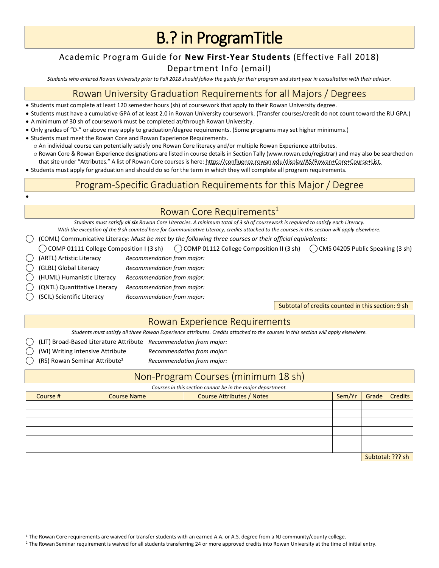# B.? in ProgramTitle

### Academic Program Guide for **New First-Year Students** (Effective Fall 2018)

#### Department Info (email)

*Students who entered Rowan University prior to Fall 2018 should follow the guide for their program and start year in consultation with their advisor.*

### Rowan University Graduation Requirements for all Majors / Degrees

- Students must complete at least 120 semester hours (sh) of coursework that apply to their Rowan University degree.
- Students must have a cumulative GPA of at least 2.0 in Rowan University coursework. (Transfer courses/credit do not count toward the RU GPA.)
- A minimum of 30 sh of coursework must be completed at/through Rowan University.
- Only grades of "D-" or above may apply to graduation/degree requirements. (Some programs may set higher minimums.)
- Students must meet the Rowan Core and Rowan Experience Requirements.

⃝ (RS) Rowan Seminar Attribute<sup>2</sup> *Recommendation from major:*

 $\bullet$ 

 $\overline{a}$ 

- o An individual course can potentially satisfy one Rowan Core literacy and/or multiple Rowan Experience attributes.
- o Rowan Core & Rowan Experience designations are listed in course details in Section Tally [\(www.rowan.edu/registrar\)](http://www.rowan.edu/registrar) and may also be searched on that site under "Attributes." A list of Rowan Core courses is here[: https://confluence.rowan.edu/display/AS/Rowan+Core+Course+List.](https://confluence.rowan.edu/display/AS/Rowan+Core+Course+List)
- Students must apply for graduation and should do so for the term in which they will complete all program requirements.

### Program-Specific Graduation Requirements for this Major / Degree

| Rowan Core Requirements <sup>1</sup>                                                                                                                                                                                                                                              |                            |                            |  |  |                                                                                                                                         |  |  |
|-----------------------------------------------------------------------------------------------------------------------------------------------------------------------------------------------------------------------------------------------------------------------------------|----------------------------|----------------------------|--|--|-----------------------------------------------------------------------------------------------------------------------------------------|--|--|
| Students must satisfy all six Rowan Core Literacies. A minimum total of 3 sh of coursework is required to satisfy each Literacy.<br>With the exception of the 9 sh counted here for Communicative Literacy, credits attached to the courses in this section will apply elsewhere. |                            |                            |  |  |                                                                                                                                         |  |  |
| (COML) Communicative Literacy: Must be met by the following three courses or their official equivalents:                                                                                                                                                                          |                            |                            |  |  |                                                                                                                                         |  |  |
|                                                                                                                                                                                                                                                                                   |                            |                            |  |  | COMP 01111 College Composition I (3 sh) $\bigcirc$ COMP 01112 College Composition II (3 sh) $\bigcirc$ CMS 04205 Public Speaking (3 sh) |  |  |
| (ARTL) Artistic Literacy                                                                                                                                                                                                                                                          | Recommendation from major: |                            |  |  |                                                                                                                                         |  |  |
| (GLBL) Global Literacy                                                                                                                                                                                                                                                            | Recommendation from major: |                            |  |  |                                                                                                                                         |  |  |
| (HUML) Humanistic Literacy                                                                                                                                                                                                                                                        | Recommendation from major: |                            |  |  |                                                                                                                                         |  |  |
| (QNTL) Quantitative Literacy                                                                                                                                                                                                                                                      | Recommendation from major: |                            |  |  |                                                                                                                                         |  |  |
| (SCIL) Scientific Literacy                                                                                                                                                                                                                                                        | Recommendation from major: |                            |  |  |                                                                                                                                         |  |  |
|                                                                                                                                                                                                                                                                                   |                            |                            |  |  | Subtotal of credits counted in this section: 9 sh                                                                                       |  |  |
| Rowan Experience Requirements                                                                                                                                                                                                                                                     |                            |                            |  |  |                                                                                                                                         |  |  |
|                                                                                                                                                                                                                                                                                   |                            |                            |  |  | Students must satisfy all three Rowan Experience attributes. Credits attached to the courses in this section will apply elsewhere.      |  |  |
| LIT) Broad-Based Literature Attribute Recommendation from major:                                                                                                                                                                                                                  |                            |                            |  |  |                                                                                                                                         |  |  |
| (WI) Writing Intensive Attribute                                                                                                                                                                                                                                                  |                            | Recommendation from major: |  |  |                                                                                                                                         |  |  |

## Non-Program Courses (minimum 18 sh)

*Courses in this section cannot be in the major department.*

| Course # | <b>Course Name</b> | <b>Course Attributes / Notes</b> | Sem/Yr | Grade            | Credits |
|----------|--------------------|----------------------------------|--------|------------------|---------|
|          |                    |                                  |        |                  |         |
|          |                    |                                  |        |                  |         |
|          |                    |                                  |        |                  |         |
|          |                    |                                  |        |                  |         |
|          |                    |                                  |        |                  |         |
|          |                    |                                  |        |                  |         |
|          |                    |                                  |        | Subtotal: ??? sh |         |

<sup>1</sup> The Rowan Core requirements are waived for transfer students with an earned A.A. or A.S. degree from a NJ community/county college.

<sup>&</sup>lt;sup>2</sup> The Rowan Seminar requirement is waived for all students transferring 24 or more approved credits into Rowan University at the time of initial entry.